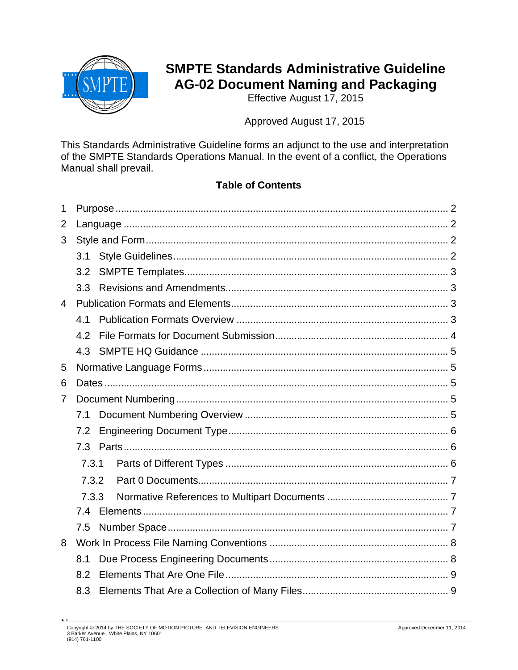

# **SMPTE Standards Administrative Guideline AG-02 Document Naming and Packaging**

Effective August 17, 2015

Approved August 17, 2015

This Standards Administrative Guideline forms an adjunct to the use and interpretation of the SMPTE Standards Operations Manual. In the event of a conflict, the Operations Manual shall prevail.

## **Table of Contents**

| 1              |       |  |  |  |
|----------------|-------|--|--|--|
| 2              |       |  |  |  |
| 3              |       |  |  |  |
|                | 3.1   |  |  |  |
|                | 3.2   |  |  |  |
|                | 3.3   |  |  |  |
| $\overline{4}$ |       |  |  |  |
|                | 4.1   |  |  |  |
|                | 4.2   |  |  |  |
|                | 4.3   |  |  |  |
| 5              |       |  |  |  |
| 6              |       |  |  |  |
| 7              |       |  |  |  |
|                | 7.1   |  |  |  |
|                | 7.2   |  |  |  |
|                |       |  |  |  |
|                | 7.3.1 |  |  |  |
|                | 7.3.2 |  |  |  |
|                | 7.3.3 |  |  |  |
|                | 7.4   |  |  |  |
|                | 7.5   |  |  |  |
| 8              |       |  |  |  |
|                | 8.1   |  |  |  |
|                | 8.2   |  |  |  |
|                | 8.3   |  |  |  |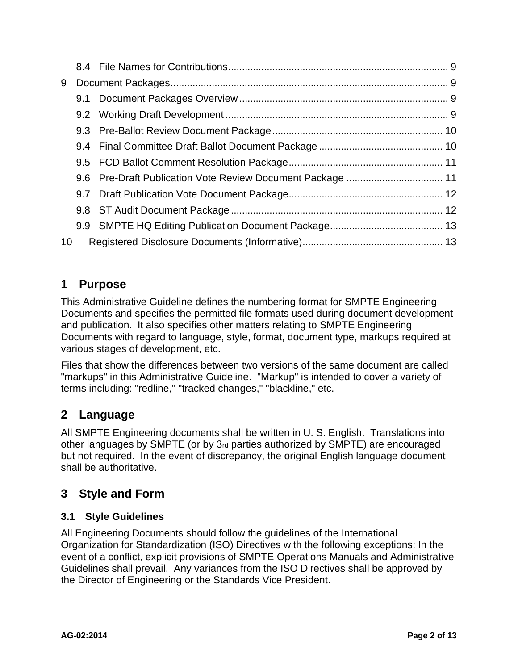| 9  |  |  |
|----|--|--|
|    |  |  |
|    |  |  |
|    |  |  |
|    |  |  |
|    |  |  |
|    |  |  |
|    |  |  |
|    |  |  |
|    |  |  |
| 10 |  |  |

## <span id="page-1-0"></span>**1 Purpose**

This Administrative Guideline defines the numbering format for SMPTE Engineering Documents and specifies the permitted file formats used during document development and publication. It also specifies other matters relating to SMPTE Engineering Documents with regard to language, style, format, document type, markups required at various stages of development, etc.

Files that show the differences between two versions of the same document are called "markups" in this Administrative Guideline. "Markup" is intended to cover a variety of terms including: "redline," "tracked changes," "blackline," etc.

## <span id="page-1-1"></span>**2 Language**

All SMPTE Engineering documents shall be written in U. S. English. Translations into other languages by SMPTE (or by 3rd parties authorized by SMPTE) are encouraged but not required. In the event of discrepancy, the original English language document shall be authoritative.

## <span id="page-1-2"></span>**3 Style and Form**

## <span id="page-1-3"></span>**3.1 Style Guidelines**

All Engineering Documents should follow the guidelines of the International Organization for Standardization (ISO) Directives with the following exceptions: In the event of a conflict, explicit provisions of SMPTE Operations Manuals and Administrative Guidelines shall prevail. Any variances from the ISO Directives shall be approved by the Director of Engineering or the Standards Vice President.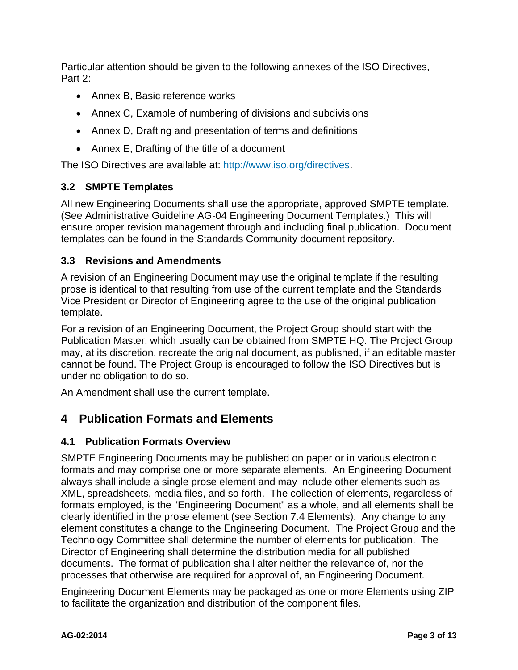Particular attention should be given to the following annexes of the ISO Directives, Part 2:

- Annex B, Basic reference works
- Annex C, Example of numbering of divisions and subdivisions
- Annex D, Drafting and presentation of terms and definitions
- Annex E, Drafting of the title of a document

The ISO Directives are available at: [http://www.iso.org/directives.](http://www.iso.org/directives)

## <span id="page-2-0"></span>**3.2 SMPTE Templates**

All new Engineering Documents shall use the appropriate, approved SMPTE template. (See Administrative Guideline AG-04 Engineering Document Templates.) This will ensure proper revision management through and including final publication. Document templates can be found in the Standards Community document repository.

## <span id="page-2-1"></span>**3.3 Revisions and Amendments**

A revision of an Engineering Document may use the original template if the resulting prose is identical to that resulting from use of the current template and the Standards Vice President or Director of Engineering agree to the use of the original publication template.

For a revision of an Engineering Document, the Project Group should start with the Publication Master, which usually can be obtained from SMPTE HQ. The Project Group may, at its discretion, recreate the original document, as published, if an editable master cannot be found. The Project Group is encouraged to follow the ISO Directives but is under no obligation to do so.

An Amendment shall use the current template.

## <span id="page-2-2"></span>**4 Publication Formats and Elements**

## <span id="page-2-3"></span>**4.1 Publication Formats Overview**

SMPTE Engineering Documents may be published on paper or in various electronic formats and may comprise one or more separate elements. An Engineering Document always shall include a single prose element and may include other elements such as XML, spreadsheets, media files, and so forth. The collection of elements, regardless of formats employed, is the "Engineering Document" as a whole, and all elements shall be clearly identified in the prose element (see Section [7.4](#page-6-2) [Elements\)](#page-6-2). Any change to any element constitutes a change to the Engineering Document. The Project Group and the Technology Committee shall determine the number of elements for publication. The Director of Engineering shall determine the distribution media for all published documents. The format of publication shall alter neither the relevance of, nor the processes that otherwise are required for approval of, an Engineering Document.

Engineering Document Elements may be packaged as one or more Elements using ZIP to facilitate the organization and distribution of the component files.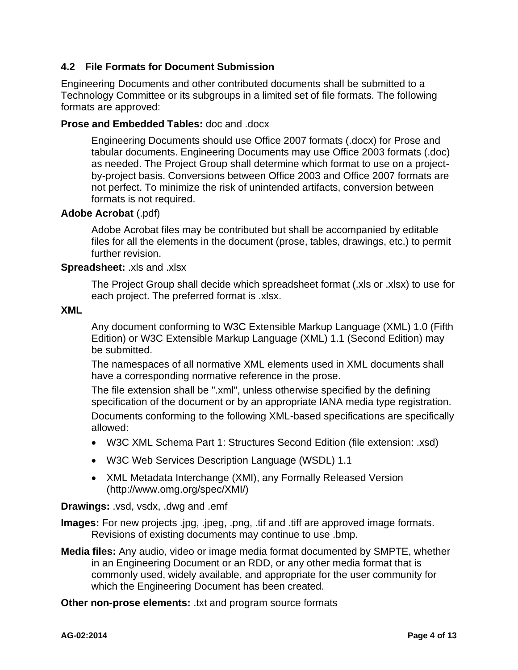#### <span id="page-3-0"></span>**4.2 File Formats for Document Submission**

Engineering Documents and other contributed documents shall be submitted to a Technology Committee or its subgroups in a limited set of file formats. The following formats are approved:

#### **Prose and Embedded Tables:** doc and .docx

Engineering Documents should use Office 2007 formats (.docx) for Prose and tabular documents. Engineering Documents may use Office 2003 formats (.doc) as needed. The Project Group shall determine which format to use on a projectby-project basis. Conversions between Office 2003 and Office 2007 formats are not perfect. To minimize the risk of unintended artifacts, conversion between formats is not required.

#### **Adobe Acrobat** (.pdf)

Adobe Acrobat files may be contributed but shall be accompanied by editable files for all the elements in the document (prose, tables, drawings, etc.) to permit further revision.

#### **Spreadsheet:** .xls and .xlsx

The Project Group shall decide which spreadsheet format (.xls or .xlsx) to use for each project. The preferred format is .xlsx.

#### **XML**

Any document conforming to W3C Extensible Markup Language (XML) 1.0 (Fifth Edition) or W3C Extensible Markup Language (XML) 1.1 (Second Edition) may be submitted.

The namespaces of all normative XML elements used in XML documents shall have a corresponding normative reference in the prose.

The file extension shall be ".xml", unless otherwise specified by the defining specification of the document or by an appropriate IANA media type registration.

Documents conforming to the following XML-based specifications are specifically allowed:

- W3C XML Schema Part 1: Structures Second Edition (file extension: .xsd)
- W3C Web Services Description Language (WSDL) 1.1
- XML Metadata Interchange (XMI), any Formally Released Version (http://www.omg.org/spec/XMI/)

**Drawings:** .vsd, vsdx, .dwg and .emf

**Images:** For new projects .jpg, .jpeg, .png, .tif and .tiff are approved image formats. Revisions of existing documents may continue to use .bmp.

**Media files:** Any audio, video or image media format documented by SMPTE, whether in an Engineering Document or an RDD, or any other media format that is commonly used, widely available, and appropriate for the user community for which the Engineering Document has been created.

**Other non-prose elements:** .txt and program source formats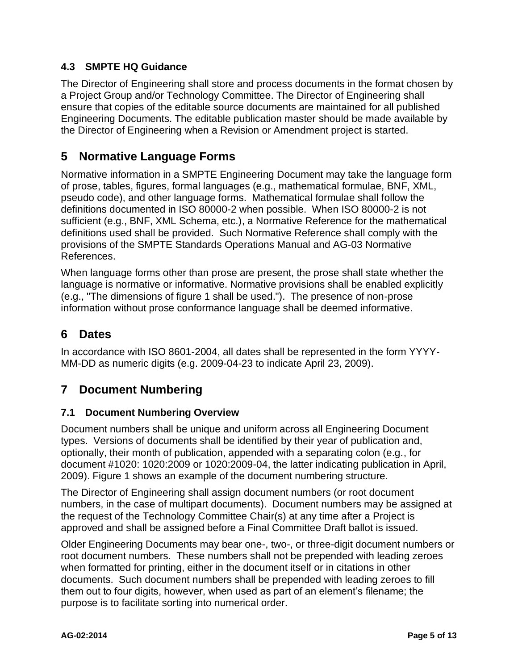## <span id="page-4-0"></span>**4.3 SMPTE HQ Guidance**

The Director of Engineering shall store and process documents in the format chosen by a Project Group and/or Technology Committee. The Director of Engineering shall ensure that copies of the editable source documents are maintained for all published Engineering Documents. The editable publication master should be made available by the Director of Engineering when a Revision or Amendment project is started.

## <span id="page-4-1"></span>**5 Normative Language Forms**

Normative information in a SMPTE Engineering Document may take the language form of prose, tables, figures, formal languages (e.g., mathematical formulae, BNF, XML, pseudo code), and other language forms. Mathematical formulae shall follow the definitions documented in ISO 80000-2 when possible. When ISO 80000-2 is not sufficient (e.g., BNF, XML Schema, etc.), a Normative Reference for the mathematical definitions used shall be provided. Such Normative Reference shall comply with the provisions of the SMPTE Standards Operations Manual and AG-03 Normative References.

When language forms other than prose are present, the prose shall state whether the language is normative or informative. Normative provisions shall be enabled explicitly (e.g., "The dimensions of figure 1 shall be used."). The presence of non-prose information without prose conformance language shall be deemed informative.

## <span id="page-4-2"></span>**6 Dates**

In accordance with ISO 8601-2004, all dates shall be represented in the form YYYY-MM-DD as numeric digits (e.g. 2009-04-23 to indicate April 23, 2009).

## <span id="page-4-3"></span>**7 Document Numbering**

## <span id="page-4-4"></span>**7.1 Document Numbering Overview**

Document numbers shall be unique and uniform across all Engineering Document types. Versions of documents shall be identified by their year of publication and, optionally, their month of publication, appended with a separating colon (e.g., for document #1020: 1020:2009 or 1020:2009-04, the latter indicating publication in April, 2009). [Figure 1](#page-5-3) shows an example of the document numbering structure.

The Director of Engineering shall assign document numbers (or root document numbers, in the case of multipart documents). Document numbers may be assigned at the request of the Technology Committee Chair(s) at any time after a Project is approved and shall be assigned before a Final Committee Draft ballot is issued.

Older Engineering Documents may bear one-, two-, or three-digit document numbers or root document numbers. These numbers shall not be prepended with leading zeroes when formatted for printing, either in the document itself or in citations in other documents. Such document numbers shall be prepended with leading zeroes to fill them out to four digits, however, when used as part of an element's filename; the purpose is to facilitate sorting into numerical order.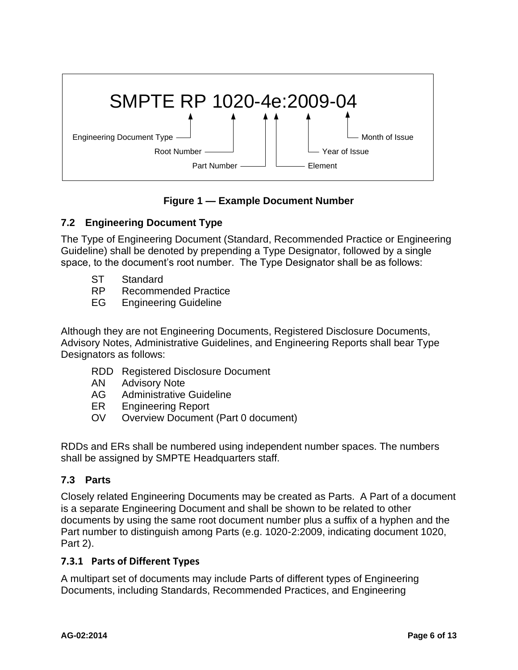

## **Figure 1 — Example Document Number**

#### <span id="page-5-3"></span><span id="page-5-0"></span>**7.2 Engineering Document Type**

The Type of Engineering Document (Standard, Recommended Practice or Engineering Guideline) shall be denoted by prepending a Type Designator, followed by a single space, to the document's root number. The Type Designator shall be as follows:

- ST Standard
- RP Recommended Practice
- EG Engineering Guideline

Although they are not Engineering Documents, Registered Disclosure Documents, Advisory Notes, Administrative Guidelines, and Engineering Reports shall bear Type Designators as follows:

- RDD Registered Disclosure Document
- AN Advisory Note
- AG Administrative Guideline
- ER Engineering Report
- OV Overview Document (Part 0 document)

RDDs and ERs shall be numbered using independent number spaces. The numbers shall be assigned by SMPTE Headquarters staff.

#### <span id="page-5-1"></span>**7.3 Parts**

Closely related Engineering Documents may be created as Parts. A Part of a document is a separate Engineering Document and shall be shown to be related to other documents by using the same root document number plus a suffix of a hyphen and the Part number to distinguish among Parts (e.g. 1020-2:2009, indicating document 1020, Part 2).

#### <span id="page-5-2"></span>**7.3.1 Parts of Different Types**

A multipart set of documents may include Parts of different types of Engineering Documents, including Standards, Recommended Practices, and Engineering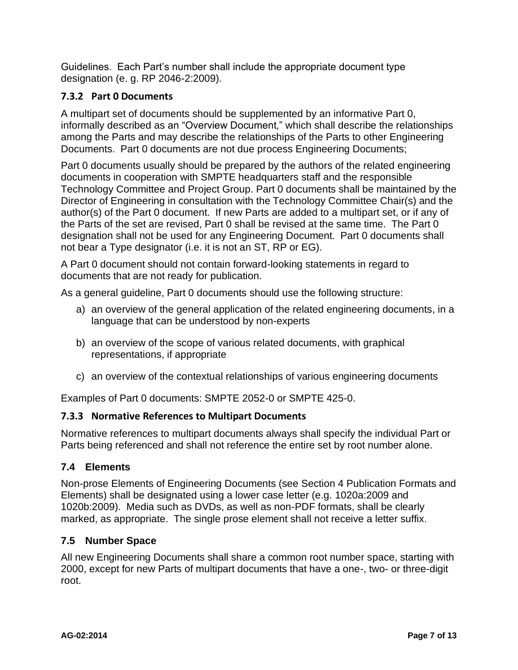Guidelines. Each Part's number shall include the appropriate document type designation (e. g. RP 2046-2:2009).

### <span id="page-6-0"></span>**7.3.2 Part 0 Documents**

A multipart set of documents should be supplemented by an informative Part 0, informally described as an "Overview Document," which shall describe the relationships among the Parts and may describe the relationships of the Parts to other Engineering Documents. Part 0 documents are not due process Engineering Documents;

Part 0 documents usually should be prepared by the authors of the related engineering documents in cooperation with SMPTE headquarters staff and the responsible Technology Committee and Project Group. Part 0 documents shall be maintained by the Director of Engineering in consultation with the Technology Committee Chair(s) and the author(s) of the Part 0 document. If new Parts are added to a multipart set, or if any of the Parts of the set are revised, Part 0 shall be revised at the same time. The Part 0 designation shall not be used for any Engineering Document. Part 0 documents shall not bear a Type designator (i.e. it is not an ST, RP or EG).

A Part 0 document should not contain forward-looking statements in regard to documents that are not ready for publication.

As a general guideline, Part 0 documents should use the following structure:

- a) an overview of the general application of the related engineering documents, in a language that can be understood by non-experts
- b) an overview of the scope of various related documents, with graphical representations, if appropriate
- c) an overview of the contextual relationships of various engineering documents

Examples of Part 0 documents: SMPTE 2052-0 or SMPTE 425-0.

#### <span id="page-6-1"></span>**7.3.3 Normative References to Multipart Documents**

Normative references to multipart documents always shall specify the individual Part or Parts being referenced and shall not reference the entire set by root number alone.

#### <span id="page-6-2"></span>**7.4 Elements**

Non-prose Elements of Engineering Documents (see Section [4](#page-2-2) [Publication Formats and](#page-2-2)  [Elements\)](#page-2-2) shall be designated using a lower case letter (e.g. 1020a:2009 and 1020b:2009). Media such as DVDs, as well as non-PDF formats, shall be clearly marked, as appropriate. The single prose element shall not receive a letter suffix.

#### <span id="page-6-3"></span>**7.5 Number Space**

All new Engineering Documents shall share a common root number space, starting with 2000, except for new Parts of multipart documents that have a one-, two- or three-digit root.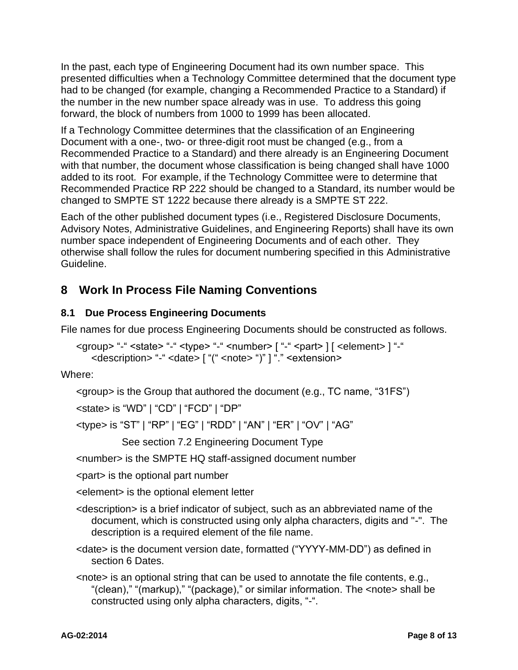In the past, each type of Engineering Document had its own number space. This presented difficulties when a Technology Committee determined that the document type had to be changed (for example, changing a Recommended Practice to a Standard) if the number in the new number space already was in use. To address this going forward, the block of numbers from 1000 to 1999 has been allocated.

If a Technology Committee determines that the classification of an Engineering Document with a one-, two- or three-digit root must be changed (e.g., from a Recommended Practice to a Standard) and there already is an Engineering Document with that number, the document whose classification is being changed shall have 1000 added to its root. For example, if the Technology Committee were to determine that Recommended Practice RP 222 should be changed to a Standard, its number would be changed to SMPTE ST 1222 because there already is a SMPTE ST 222.

Each of the other published document types (i.e., Registered Disclosure Documents, Advisory Notes, Administrative Guidelines, and Engineering Reports) shall have its own number space independent of Engineering Documents and of each other. They otherwise shall follow the rules for document numbering specified in this Administrative Guideline.

## <span id="page-7-0"></span>**8 Work In Process File Naming Conventions**

## <span id="page-7-1"></span>**8.1 Due Process Engineering Documents**

File names for due process Engineering Documents should be constructed as follows.

```
<group> "-" <state> "-" <type> "-" <number> [ "-" <part> ] [ <element> ] "-"
<description> "-" <date> [ "(" <note> ")" ] "." <extension>
```
Where:

<group> is the Group that authored the document (e.g., TC name, "31FS")

<state> is "WD" | "CD" | "FCD" | "DP"

<type> is "ST" | "RP" | "EG" | "RDD" | "AN" | "ER" | "OV" | "AG"

See section [7.2](#page-5-0) [Engineering Document Type](#page-5-0)

<number> is the SMPTE HQ staff-assigned document number

<part> is the optional part number

<element> is the optional element letter

- <description> is a brief indicator of subject, such as an abbreviated name of the document, which is constructed using only alpha characters, digits and "-". The description is a required element of the file name.
- <date> is the document version date, formatted ("YYYY-MM-DD") as defined in section [6](#page-4-2) [Dates.](#page-4-2)
- <note> is an optional string that can be used to annotate the file contents, e.g., "(clean)," "(markup)," "(package)," or similar information. The <note> shall be constructed using only alpha characters, digits, "-".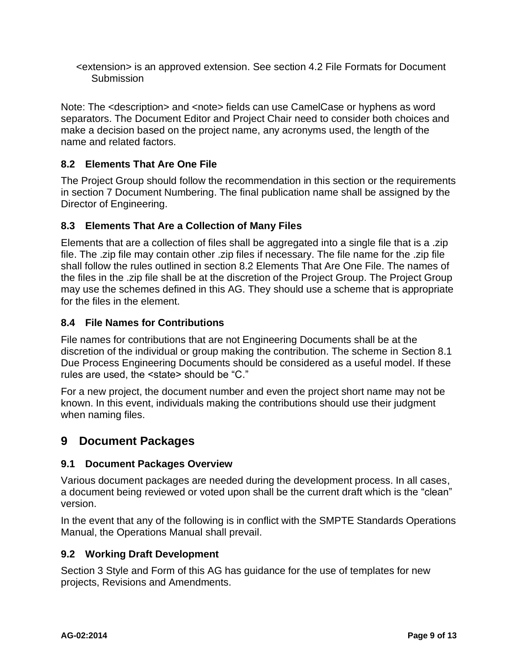<extension> is an approved extension. See section [4.2](#page-3-0) [File Formats for Document](#page-3-0)  **[Submission](#page-3-0)** 

Note: The <description> and <note> fields can use CamelCase or hyphens as word separators. The Document Editor and Project Chair need to consider both choices and make a decision based on the project name, any acronyms used, the length of the name and related factors.

### <span id="page-8-0"></span>**8.2 Elements That Are One File**

The Project Group should follow the recommendation in this section or the requirements in section [7](#page-4-3) [Document Numbering.](#page-4-3) The final publication name shall be assigned by the Director of Engineering.

#### <span id="page-8-1"></span>**8.3 Elements That Are a Collection of Many Files**

Elements that are a collection of files shall be aggregated into a single file that is a .zip file. The .zip file may contain other .zip files if necessary. The file name for the .zip file shall follow the rules outlined in section [8.2](#page-8-0) [Elements That Are One File.](#page-8-0) The names of the files in the .zip file shall be at the discretion of the Project Group. The Project Group may use the schemes defined in this AG. They should use a scheme that is appropriate for the files in the element.

#### <span id="page-8-2"></span>**8.4 File Names for Contributions**

File names for contributions that are not Engineering Documents shall be at the discretion of the individual or group making the contribution. The scheme in Section [8.1](#page-7-1) [Due Process Engineering Documents](#page-7-1) should be considered as a useful model. If these rules are used, the <state> should be "C."

For a new project, the document number and even the project short name may not be known. In this event, individuals making the contributions should use their judgment when naming files.

## <span id="page-8-3"></span>**9 Document Packages**

#### <span id="page-8-4"></span>**9.1 Document Packages Overview**

Various document packages are needed during the development process. In all cases, a document being reviewed or voted upon shall be the current draft which is the "clean" version.

In the event that any of the following is in conflict with the SMPTE Standards Operations Manual, the Operations Manual shall prevail.

#### <span id="page-8-5"></span>**9.2 Working Draft Development**

Section [3](#page-1-2) [Style and Form](#page-1-2) of this AG has guidance for the use of templates for new projects, Revisions and Amendments.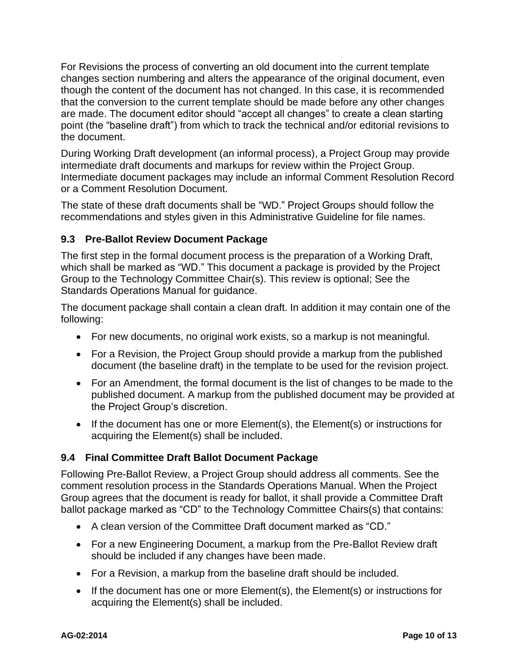For Revisions the process of converting an old document into the current template changes section numbering and alters the appearance of the original document, even though the content of the document has not changed. In this case, it is recommended that the conversion to the current template should be made before any other changes are made. The document editor should "accept all changes" to create a clean starting point (the "baseline draft") from which to track the technical and/or editorial revisions to the document.

During Working Draft development (an informal process), a Project Group may provide intermediate draft documents and markups for review within the Project Group. Intermediate document packages may include an informal Comment Resolution Record or a Comment Resolution Document.

The state of these draft documents shall be "WD." Project Groups should follow the recommendations and styles given in this Administrative Guideline for file names.

## <span id="page-9-0"></span>**9.3 Pre-Ballot Review Document Package**

The first step in the formal document process is the preparation of a Working Draft, which shall be marked as "WD." This document a package is provided by the Project Group to the Technology Committee Chair(s). This review is optional; See the Standards Operations Manual for guidance.

The document package shall contain a clean draft. In addition it may contain one of the following:

- For new documents, no original work exists, so a markup is not meaningful.
- For a Revision, the Project Group should provide a markup from the published document (the baseline draft) in the template to be used for the revision project.
- For an Amendment, the formal document is the list of changes to be made to the published document. A markup from the published document may be provided at the Project Group's discretion.
- If the document has one or more Element(s), the Element(s) or instructions for acquiring the Element(s) shall be included.

## <span id="page-9-1"></span>**9.4 Final Committee Draft Ballot Document Package**

Following Pre-Ballot Review, a Project Group should address all comments. See the comment resolution process in the Standards Operations Manual. When the Project Group agrees that the document is ready for ballot, it shall provide a Committee Draft ballot package marked as "CD" to the Technology Committee Chairs(s) that contains:

- A clean version of the Committee Draft document marked as "CD."
- For a new Engineering Document, a markup from the Pre-Ballot Review draft should be included if any changes have been made.
- For a Revision, a markup from the baseline draft should be included.
- If the document has one or more Element(s), the Element(s) or instructions for acquiring the Element(s) shall be included.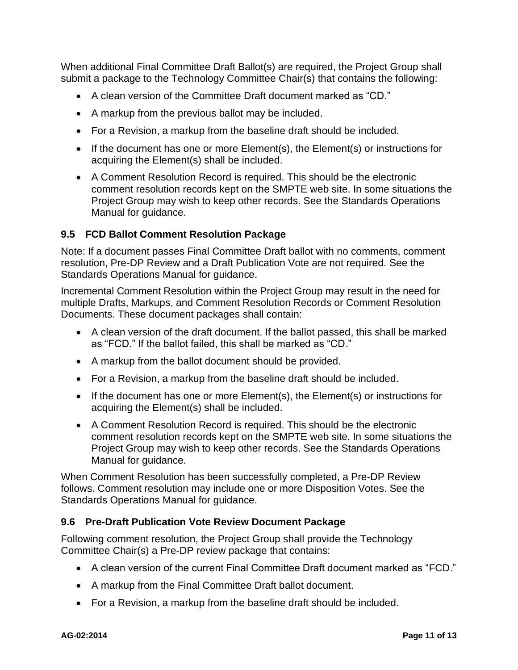When additional Final Committee Draft Ballot(s) are required, the Project Group shall submit a package to the Technology Committee Chair(s) that contains the following:

- A clean version of the Committee Draft document marked as "CD."
- A markup from the previous ballot may be included.
- For a Revision, a markup from the baseline draft should be included.
- If the document has one or more Element(s), the Element(s) or instructions for acquiring the Element(s) shall be included.
- A Comment Resolution Record is required. This should be the electronic comment resolution records kept on the SMPTE web site. In some situations the Project Group may wish to keep other records. See the Standards Operations Manual for guidance.

#### <span id="page-10-0"></span>**9.5 FCD Ballot Comment Resolution Package**

Note: If a document passes Final Committee Draft ballot with no comments, comment resolution, Pre-DP Review and a Draft Publication Vote are not required. See the Standards Operations Manual for guidance.

Incremental Comment Resolution within the Project Group may result in the need for multiple Drafts, Markups, and Comment Resolution Records or Comment Resolution Documents. These document packages shall contain:

- A clean version of the draft document. If the ballot passed, this shall be marked as "FCD." If the ballot failed, this shall be marked as "CD."
- A markup from the ballot document should be provided.
- For a Revision, a markup from the baseline draft should be included.
- If the document has one or more Element(s), the Element(s) or instructions for acquiring the Element(s) shall be included.
- A Comment Resolution Record is required. This should be the electronic comment resolution records kept on the SMPTE web site. In some situations the Project Group may wish to keep other records. See the Standards Operations Manual for guidance.

When Comment Resolution has been successfully completed, a Pre-DP Review follows. Comment resolution may include one or more Disposition Votes. See the Standards Operations Manual for guidance.

#### <span id="page-10-1"></span>**9.6 Pre-Draft Publication Vote Review Document Package**

Following comment resolution, the Project Group shall provide the Technology Committee Chair(s) a Pre-DP review package that contains:

- A clean version of the current Final Committee Draft document marked as "FCD."
- A markup from the Final Committee Draft ballot document.
- For a Revision, a markup from the baseline draft should be included.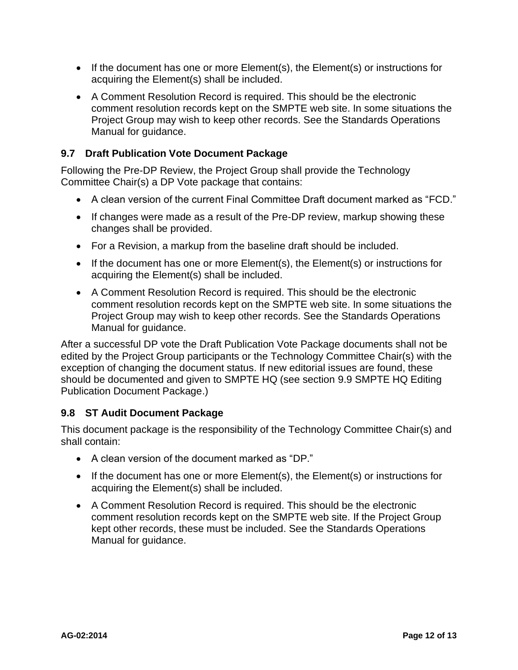- If the document has one or more Element(s), the Element(s) or instructions for acquiring the Element(s) shall be included.
- A Comment Resolution Record is required. This should be the electronic comment resolution records kept on the SMPTE web site. In some situations the Project Group may wish to keep other records. See the Standards Operations Manual for guidance.

## <span id="page-11-0"></span>**9.7 Draft Publication Vote Document Package**

Following the Pre-DP Review, the Project Group shall provide the Technology Committee Chair(s) a DP Vote package that contains:

- A clean version of the current Final Committee Draft document marked as "FCD."
- If changes were made as a result of the Pre-DP review, markup showing these changes shall be provided.
- For a Revision, a markup from the baseline draft should be included.
- If the document has one or more Element(s), the Element(s) or instructions for acquiring the Element(s) shall be included.
- A Comment Resolution Record is required. This should be the electronic comment resolution records kept on the SMPTE web site. In some situations the Project Group may wish to keep other records. See the Standards Operations Manual for quidance.

After a successful DP vote the Draft Publication Vote Package documents shall not be edited by the Project Group participants or the Technology Committee Chair(s) with the exception of changing the document status. If new editorial issues are found, these should be documented and given to SMPTE HQ (see section [9.9](#page-12-0) [SMPTE HQ Editing](#page-12-0)  [Publication Document Package.](#page-12-0))

## <span id="page-11-1"></span>**9.8 ST Audit Document Package**

This document package is the responsibility of the Technology Committee Chair(s) and shall contain:

- A clean version of the document marked as "DP."
- If the document has one or more Element(s), the Element(s) or instructions for acquiring the Element(s) shall be included.
- A Comment Resolution Record is required. This should be the electronic comment resolution records kept on the SMPTE web site. If the Project Group kept other records, these must be included. See the Standards Operations Manual for guidance.